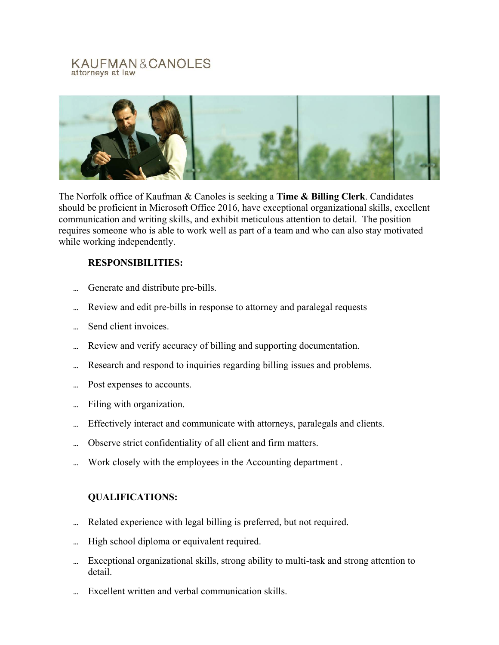## KAUFMAN&CANOLES attorneys at law



The Norfolk office of Kaufman & Canoles is seeking a **Time & Billing Clerk**. Candidates should be proficient in Microsoft Office 2016, have exceptional organizational skills, excellent communication and writing skills, and exhibit meticulous attention to detail. The position requires someone who is able to work well as part of a team and who can also stay motivated while working independently.

# **RESPONSIBILITIES:**

- ... Generate and distribute pre-bills.
- ... Review and edit pre-bills in response to attorney and paralegal requests
- ... Send client invoices.
- Review and verify accuracy of billing and supporting documentation.
- ... Research and respond to inquiries regarding billing issues and problems.
- ... Post expenses to accounts.
- Filing with organization.
- Effectively interact and communicate with attorneys, paralegals and clients.
- Observe strict confidentiality of all client and firm matters.
- Work closely with the employees in the Accounting department.

# **QUALIFICATIONS:**

- ... Related experience with legal billing is preferred, but not required.
- ... High school diploma or equivalent required.
- Exceptional organizational skills, strong ability to multi-task and strong attention to detail.
- Excellent written and verbal communication skills.